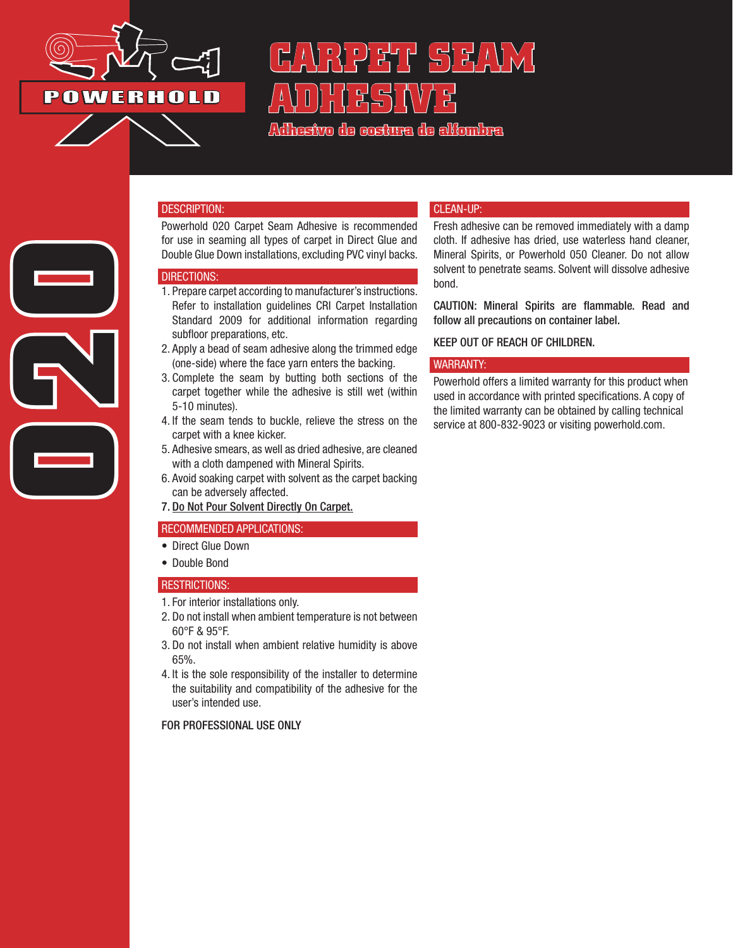

**020**

# HH 5) HAV X ( **ADHESIVE**

**Adhesivo de costura de alfombra**

#### DESCRIPTION:

Powerhold 020 Carpet Seam Adhesive is recommended for use in seaming all types of carpet in Direct Glue and Double Glue Down installations, excluding PVC vinyl backs.

#### DIRECTIONS:

- 1. Prepare carpet according to manufacturer's instructions. Refer to installation guidelines CRI Carpet Installation Standard 2009 for additional information regarding subfloor preparations, etc.
- 2. Apply a bead of seam adhesive along the trimmed edge (one-side) where the face yarn enters the backing.
- 3. Complete the seam by butting both sections of the carpet together while the adhesive is still wet (within 5-10 minutes).
- 4. If the seam tends to buckle, relieve the stress on the carpet with a knee kicker.
- 5. Adhesive smears, as well as dried adhesive, are cleaned with a cloth dampened with Mineral Spirits.
- 6. Avoid soaking carpet with solvent as the carpet backing can be adversely affected.
- 7. Do Not Pour Solvent Directly On Carpet.

## RECOMMENDED APPLICATIONS:

- Direct Glue Down
- Double Bond

#### RESTRICTIONS:

- 1. For interior installations only.
- 2. Do not install when ambient temperature is not between 60°F & 95°F.
- 3. Do not install when ambient relative humidity is above 65%.
- 4. It is the sole responsibility of the installer to determine the suitability and compatibility of the adhesive for the user's intended use.

## FOR PROFESSIONAL USE ONLY

## CLEAN-UP:

Fresh adhesive can be removed immediately with a damp cloth. If adhesive has dried, use waterless hand cleaner, Mineral Spirits, or Powerhold 050 Cleaner. Do not allow solvent to penetrate seams. Solvent will dissolve adhesive bond.

CAUTION: Mineral Spirits are flammable. Read and follow all precautions on container label.

## KEEP OUT OF REACH OF CHILDREN.

#### WARRANTY:

Powerhold offers a limited warranty for this product when used in accordance with printed specifications. A copy of the limited warranty can be obtained by calling technical service at 800-832-9023 or visiting powerhold.com.